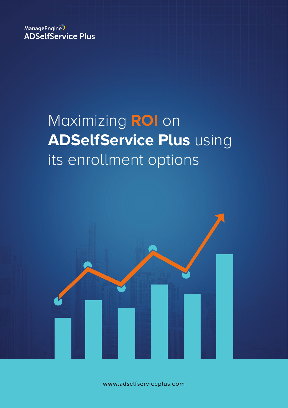ManageEngine **ADSelfService Plus** 

# Maximizing **ROI** on **ADSelfService Plus** using its enrollment options



www.adselfserviceplus.com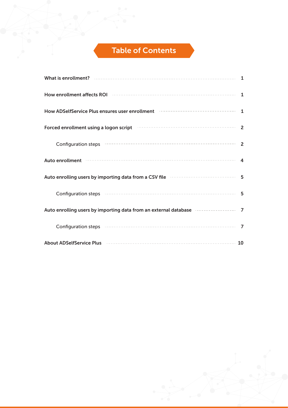# Table of Contents

| Forced enrollment using a logon script <b>Forman Constructs</b> 2                                                                                                                                                             |                          |
|-------------------------------------------------------------------------------------------------------------------------------------------------------------------------------------------------------------------------------|--------------------------|
|                                                                                                                                                                                                                               | $\overline{\phantom{0}}$ |
|                                                                                                                                                                                                                               |                          |
| Auto enrolling users by importing data from a CSV file <b>continuum and the contract of the S</b>                                                                                                                             |                          |
|                                                                                                                                                                                                                               |                          |
| Auto enrolling users by importing data from an external database <b>consequents of 7</b>                                                                                                                                      |                          |
| Configuration steps (1000) 27 and 200 million and 200 million and 200 million and 200 million and 200 million and 200 million and 200 million and 200 million and 200 million and 200 million and 200 million and 200 million |                          |
|                                                                                                                                                                                                                               |                          |

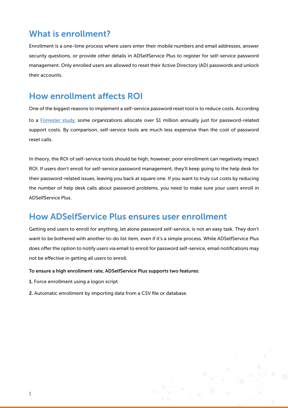# What is enrollment?

Enrollment is a one-time process where users enter their mobile numbers and email addresses, answer security questions, or provide other details in ADSelfService Plus to register for self-service password management. Only enrolled users are allowed to reset their Active Directory (AD) passwords and unlock their accounts.

# How enrollment affects ROI

One of the biggest reasons to implement a self-service password reset tool is to reduce costs. According to a [Forrester study,](https://www.forrester.com/report/Best+Practices+Selecting+Deploying+And+Managing+Enterprise+Password+Managers/-/E-RES139333) some organizations allocate over \$1 million annually just for password-related support costs. By comparison, self-service tools are much less expensive than the cost of password reset calls.

In theory, the ROI of self-service tools should be high; however, poor enrollment can negatively impact ROI. If users don't enroll for self-service password management, they'll keep going to the help desk for their password-related issues, leaving you back at square one. If you want to truly cut costs by reducing the number of help desk calls about password problems, you need to make sure your users enroll in ADSelfService Plus.

### How ADSelfService Plus ensures user enrollment

Getting end users to enroll for anything, let alone password self-service, is not an easy task. They don't want to be bothered with another to-do list item, even if it's a simple process. While ADSelfService Plus does offer the option to notify users via email to enroll for password self-service, email notifications may not be effective in getting all users to enroll.

#### To ensure a high enrollment rate, ADSelfService Plus supports two features:

- 1. Force enrollment using a logon script.
- 2. Automatic enrollment by importing data from a CSV file or database.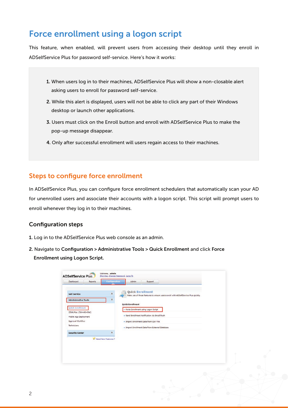# Force enrollment using a logon script

This feature, when enabled, will prevent users from accessing their desktop until they enroll in ADSelfService Plus for password self-service. Here's how it works:

- 1. When users log in to their machines, ADSelfService Plus will show a non-closable alert asking users to enroll for password self-service.
- 2. While this alert is displayed, users will not be able to click any part of their Windows desktop or launch other applications.
- 3. Users must click on the Enroll button and enroll with ADSelfService Plus to make the pop-up message disappear.
- 4. Only after successful enrollment will users regain access to their machines.

#### Steps to configure force enrollment

In ADSelfService Plus, you can configure force enrollment schedulers that automatically scan your AD for unenrolled users and associate their accounts with a logon script. This script will prompt users to enroll whenever they log in to their machines.

#### Configuration steps

- 1. Log in to the ADSelfService Plus web console as an admin.
- 2. Navigate to Configuration > Administrative Tools > Quick Enrollment and click Force Enrollment using Logon Script.

| Self-Service                            | $\hat{\mathbf{x}}$      | <b>Quick Enrollment</b> | Make use of these features to ensure users enroll with ADSelfService Plus quickly. |  |  |
|-----------------------------------------|-------------------------|-------------------------|------------------------------------------------------------------------------------|--|--|
| <b>Administrative Tools</b>             | $\boldsymbol{\epsilon}$ |                         |                                                                                    |  |  |
| <b>Quick Enrollment</b>                 |                         | <b>Quick Enrollment</b> |                                                                                    |  |  |
| GINA/Mac (Ctrl+Alt+Del)                 |                         |                         | - Force Enrollment using Logon Script                                              |  |  |
| Mobile App Deployment                   |                         |                         | - Send Enrollment Notification via Email/Push                                      |  |  |
| Approval Workflow<br><b>Technicians</b> |                         |                         | · Import Enrollment Data from CSV File                                             |  |  |
|                                         |                         |                         | · Import Enrollment Data from External Database                                    |  |  |
| <b>Security Center</b>                  | $\hat{\mathbf{x}}$      |                         |                                                                                    |  |  |
|                                         | Weed New Features ?     |                         |                                                                                    |  |  |
|                                         |                         |                         |                                                                                    |  |  |
|                                         |                         |                         |                                                                                    |  |  |
|                                         |                         |                         |                                                                                    |  |  |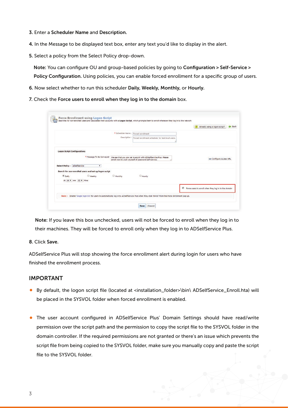- 3. Enter a Scheduler Name and Description.
- 4. In the Message to be displayed text box, enter any text you'd like to display in the alert.
- 5. Select a policy from the Select Policy drop-down.

 Note: You can configure OU and group-based policies by going to Configuration > Self-Service > Policy Configuration. Using policies, you can enable forced enrollment for a specific group of users.

- 6. Now select whether to run this scheduler Daily, Weekly, Monthly, or Hourly.
- 7. Check the Force users to enroll when they log in to the domain box.

|                                                                                                                                                  |              |                                                                                                                             | $\bullet$<br>Already using a logon script?           | da Back |
|--------------------------------------------------------------------------------------------------------------------------------------------------|--------------|-----------------------------------------------------------------------------------------------------------------------------|------------------------------------------------------|---------|
|                                                                                                                                                  |              | * Scheduler Name: Forced enrollment                                                                                         |                                                      |         |
|                                                                                                                                                  | Description: | Forced enrollment scheduler for test local users.                                                                           |                                                      |         |
| <b>Logon Script Configurations</b>                                                                                                               |              |                                                                                                                             |                                                      |         |
| * Message To Be Conveyed                                                                                                                         |              | We see that you are yet to enroll with ADSelfService Plus. Please<br>enroll now to avail yourself of password self-service. | sa Configure Access URL                              |         |
| Select Policy : adselfservice<br>۰                                                                                                               |              |                                                                                                                             |                                                      |         |
| Search for non-enrolled users and set up logon script                                                                                            |              |                                                                                                                             |                                                      |         |
| <sup>(a)</sup> Daily<br>Weekly<br>Monthly                                                                                                        |              | Hourly                                                                                                                      |                                                      |         |
| At 04 . Hrs 00 . Mins                                                                                                                            |              |                                                                                                                             |                                                      |         |
|                                                                                                                                                  |              |                                                                                                                             | Force users to enroll when they log in to the domain |         |
| Note: Enable 'Single Sign-On' for users to automatically log in to ADSelfService Plus when they click 'Enroll' from the Force Enrollment pop up. |              |                                                                                                                             |                                                      |         |

Note: If you leave this box unchecked, users will not be forced to enroll when they log in to their machines. They will be forced to enroll only when they log in to ADSelfService Plus.

8. Click Save.

ADSelfService Plus will stop showing the force enrollment alert during login for users who have finished the enrollment process.

#### IMPORTANT

- By default, the logon script file (located at <installation\_folder>\bin\ ADSelfService\_Enroll.hta) will be placed in the SYSVOL folder when forced enrollment is enabled.
- The user account configured in ADSelfService Plus' Domain Settings should have read/write permission over the script path and the permission to copy the script file to the SYSVOL folder in the domain controller. If the required permissions are not granted or there's an issue which prevents the script file from being copied to the SYSVOL folder, make sure you manually copy and paste the script file to the SYSVOL folder.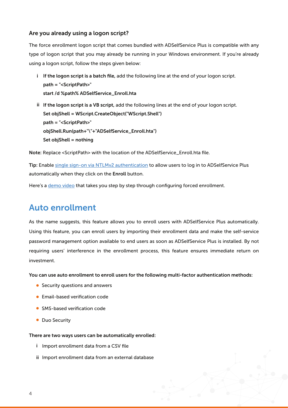#### Are you already using a logon script?

The force enrollment logon script that comes bundled with ADSelfService Plus is compatible with any type of logon script that you may already be running in your Windows environment. If you're already using a logon script, follow the steps given below:

- i If the logon script is a batch file, add the following line at the end of your logon script. path = "<ScriptPath>" start /d %path% ADSelfService\_Enroll.hta
- ii If the logon script is a VB script, add the following lines at the end of your logon script. Set objShell = WScript.CreateObject("WScript.Shell") path = "<ScriptPath>" objShell.Run(path+"\"+"ADSelfService\_Enroll.hta") Set objShell = nothing

Note: Replace <ScriptPath> with the location of the ADSelfService\_Enroll.hta file.

Tip: Enable [single sign-on via NTLMv2 authentication](http://demo.adselfserviceplus.com/help/admin-guide/Admin/sso-settings.html#ntlm) to allow users to log in to ADSelfService Plus automatically when they click on the Enroll button.

Here's a [demo video](https://www.youtube.com/watch?v=t7ESLl4CiiI) that takes you step by step through configuring forced enrollment.

## Auto enrollment

As the name suggests, this feature allows you to enroll users with ADSelfService Plus automatically. Using this feature, you can enroll users by importing their enrollment data and make the self-service password management option available to end users as soon as ADSelfService Plus is installed. By not requiring users' interference in the enrollment process, this feature ensures immediate return on investment.

You can use auto enrollment to enroll users for the following multi-factor authentication methods:

- Security questions and answers
- **Email-based verification code**
- **SMS-based verification code**
- Duo Security

There are two ways users can be automatically enrolled:

- i Import enrollment data from a CSV file
- ii Import enrollment data from an external database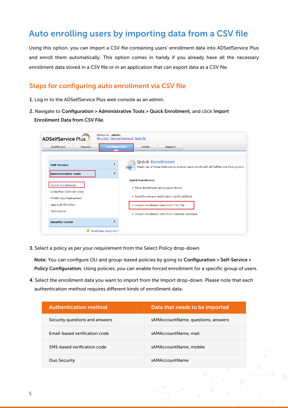# Auto enrolling users by importing data from a CSV file

Using this option, you can import a CSV file containing users' enrollment data into ADSelfService Plus and enroll them automatically. This option comes in handy if you already have all the necessary enrollment data stored in a CSV file or in an application that can export data as a CSV file.

#### Steps for configuring auto enrollment via CSV file

- 1. Log in to the ADSelfService Plus web console as an admin.
- 2. Navigate to Configuration > Administrative Tools > Quick Enrollment, and click Import Enrollment Data from CSV File.

| <b>ADSelfService Plus</b>                          | Welcome, admin<br>Sign Out, Change Password, Jump To                                                                                |  |
|----------------------------------------------------|-------------------------------------------------------------------------------------------------------------------------------------|--|
| Dashboard<br><b>Reports</b>                        | <b>Configuration</b><br>Admin<br>Support                                                                                            |  |
| Self-Service                                       | <b>Quick Enrollment</b><br>$\hat{\mathbf{x}}$<br>Make use of these features to ensure users enroll with ADSelfService Plus quickly. |  |
| <b>Administrative Tools</b>                        | ¥<br><b>Ouick Enrollment</b>                                                                                                        |  |
| <b>Quick Enrollment</b><br>GINA/Mac (Ctrl+Alt+Del) | Force Enrollment using Logon Script                                                                                                 |  |
| Mobile App Deployment                              | Send Enrollment Notification via Email/Push                                                                                         |  |
| Approval Workflow                                  | Import Enrollment Data from CSV File                                                                                                |  |
| <b>Technicians</b>                                 | . Import Enrollment Data from External Database                                                                                     |  |
| <b>Security Center</b>                             | 슷                                                                                                                                   |  |
|                                                    | Need New Features ?                                                                                                                 |  |

3. Select a policy as per your requirement from the Select Policy drop-down.

 Note: You can configure OU and group-based policies by going to Configuration > Self-Service > Policy Configuration. Using policies, you can enable forced enrollment for a specific group of users.

4. Select the enrollment data you want to import from the Import drop-down. Please note that each authentication method requires different kinds of enrollment data.

| <b>Authentication method</b>   | Data that needs to be imported     |
|--------------------------------|------------------------------------|
| Security questions and answers | sAMAccountName, questions, answers |
| Email-based verification code  | sAMAccountName, mail               |
| SMS-based verification code    | sAMAccountName, mobile             |
| Duo Security                   | sAMAccountName                     |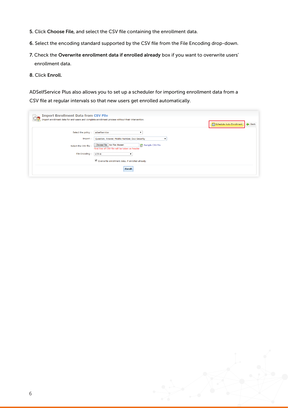- 5. Click Choose File, and select the CSV file containing the enrollment data.
- 6. Select the encoding standard supported by the CSV file from the File Encoding drop-down.
- 7. Check the Overwrite enrollment data if enrolled already box if you want to overwrite users' enrollment data.
- 8. Click Enroll.

ADSelfService Plus also allows you to set up a scheduler for importing enrollment data from a CSV file at regular intervals so that new users get enrolled automatically.

| <b>Import Enrollment Data from CSV File</b>                              | Import enrollment data for end-users and complete enrollment process without their intervention.                                                                               | Schedule Auto Enrollment | <b>Back</b> |
|--------------------------------------------------------------------------|--------------------------------------------------------------------------------------------------------------------------------------------------------------------------------|--------------------------|-------------|
| Select the policy:<br>Import:<br>Select the CSV file :<br>File Encoding: | adselfservice<br>Question, Answer, Mobile Number, Duo Security<br>Choose File   No file chosen<br>c Sample CSV file<br>First line of CSV file will be taken as header<br>UTF-8 |                          |             |
|                                                                          | Overwrite enrollment data, if enrolled already.<br><b>Enroll</b>                                                                                                               |                          |             |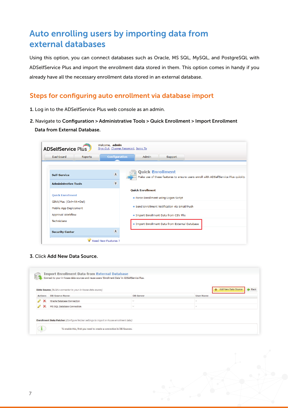# Auto enrolling users by importing data from external databases

Using this option, you can connect databases such as Oracle, MS SQL, MySQL, and PostgreSQL with ADSelfService Plus and import the enrollment data stored in them. This option comes in handy if you already have all the necessary enrollment data stored in an external database.

#### Steps for configuring auto enrollment via database import

- 1. Log in to the ADSelfService Plus web console as an admin.
- 2. Navigate to Configuration > Administrative Tools > Quick Enrollment > Import Enrollment Data from External Database.

| <b>ADSelfService Plus</b>                              | Welcome, admin<br>Sign Out, Change Password, Jump To |                                                                                                               |
|--------------------------------------------------------|------------------------------------------------------|---------------------------------------------------------------------------------------------------------------|
| <b>Dashboard</b><br>Reports                            | <b>Configuration</b>                                 | Admin<br>Support                                                                                              |
| <b>Self-Service</b>                                    | $\hat{\mathbf{x}}$<br>¥                              | <b>Quick Enrollment</b><br>Make use of these features to ensure users enroll with ADSelfService Plus quickly. |
| <b>Administrative Tools</b><br><b>Ouick Enrollment</b> |                                                      | <b>Ouick Enrollment</b>                                                                                       |
| GINA/Mac (Ctrl+Alt+Del)                                |                                                      | Force Enrollment using Logon Script                                                                           |
| Mobile App Deployment                                  |                                                      | Send Enrollment Notification via Email/Push                                                                   |
| Approval Workflow                                      |                                                      | Import Enrollment Data from CSV File                                                                          |
| <b>Technicians</b>                                     |                                                      | Import Enrollment Data from External Database                                                                 |
| <b>Security Center</b>                                 | 슷                                                    |                                                                                                               |
|                                                        | Need New Features ?                                  |                                                                                                               |

3. Click Add New Data Source.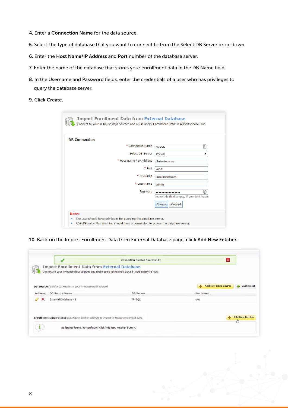- 4. Enter a Connection Name for the data source.
- 5. Select the type of database that you want to connect to from the Select DB Server drop-down.
- 6. Enter the Host Name/IP Address and Port number of the database server.
- 7. Enter the name of the database that stores your enrollment data in the DB Name field.
- 8. In the Username and Password fields, enter the credentials of a user who has privileges to query the database server.
- 9. Click Create.

| <b>DB</b> Connection |                          |                                           |
|----------------------|--------------------------|-------------------------------------------|
|                      | * Connection Name        | 固<br><b>MySQL</b>                         |
|                      | Select DB Server         | <b>MySQL</b><br>▼                         |
|                      | * Host Name / IP Address | db-test-server                            |
|                      | * Port                   | 7654                                      |
|                      | * DB Name                | EnrollmentData                            |
|                      | * User Name              | admin                                     |
|                      | Password                 | ⊛<br>-----------------                    |
|                      |                          | Leave this field empty, if you dont have. |
|                      |                          | <b>Create</b><br><b>Cancel</b>            |

10. Back on the Import Enrollment Data from External Database page, click Add New Fetcher.

|                |                                                                                         | Connection Created Successfully.                                                               | $\vert x \vert$                                             |
|----------------|-----------------------------------------------------------------------------------------|------------------------------------------------------------------------------------------------|-------------------------------------------------------------|
|                | <b>Import Enrollment Data from External Database</b>                                    |                                                                                                |                                                             |
|                |                                                                                         | Connect to your in-house data sources and reuse users 'Enrollment Data' in ADSelfService Plus. |                                                             |
|                |                                                                                         |                                                                                                |                                                             |
|                | <b>DB Source</b> (Build a connector to your in-house data source)                       |                                                                                                | <b>Add New Data Source</b><br><b>Back to list</b><br>ڪ<br>۰ |
| <b>Actions</b> | <b>DB</b> Source Name                                                                   | <b>DB</b> Server                                                                               | <b>User Name</b>                                            |
|                | External Database - 1                                                                   | MYSQL                                                                                          | root                                                        |
|                |                                                                                         |                                                                                                |                                                             |
|                |                                                                                         |                                                                                                |                                                             |
|                | Enrollment Data Fetcher (Configure fetcher settings to import in-house enrollment data) |                                                                                                | <b>Add New Fetcher</b><br>alar                              |
|                |                                                                                         |                                                                                                | O                                                           |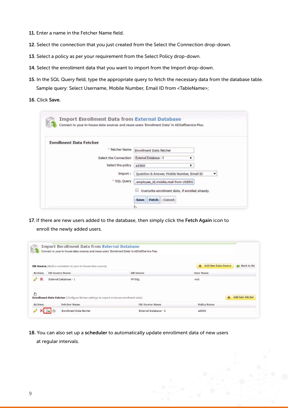- 11. Enter a name in the Fetcher Name field.
- 12. Select the connection that you just created from the Select the Connection drop-down.
- 13. Select a policy as per your requirement from the Select Policy drop-down.
- 14. Select the enrollment data that you want to import from the Import drop-down.
- 15. In the SQL Query field, type the appropriate query to fetch the necessary data from the database table. Sample query: Select Username, Mobile Number, Email ID from <TableName>;
- 16. Click Save.

| <b>Enrollment Data Fetcher</b> |                                                 |
|--------------------------------|-------------------------------------------------|
| * Fetcher Name                 | Enrollment Data fetcher                         |
| Select the Connection          | External Database - 1<br>۳                      |
| Select the policy              | ad360<br>۷                                      |
| Import:                        | Question & Answer, Mobile Number, Email ID<br>۳ |
| * SQL Query                    | , employee_id, mobile, mail from USERS          |
|                                |                                                 |
|                                | Overwrite enrollment data, if enrolled already. |

17. If there are new users added to the database, then simply click the Fetch Again icon to enroll the newly added users.

|                     |                                                                                         | Connect to your in-house data sources and reuse users 'Enrollment Data' in ADSelfService Plus. |                                                                      |
|---------------------|-----------------------------------------------------------------------------------------|------------------------------------------------------------------------------------------------|----------------------------------------------------------------------|
|                     | DB Source (Build a connector to your in-house data source)                              |                                                                                                | <b>Add New Data Source</b><br><b>Back to list</b><br>-<br><b>des</b> |
| <b>Actions</b>      | <b>DB Source Name</b>                                                                   | <b>DB</b> Server                                                                               | <b>User Name</b>                                                     |
| ×                   | External Database - 1                                                                   | MYSQL                                                                                          | root                                                                 |
|                     |                                                                                         |                                                                                                |                                                                      |
|                     | Enrollment Data Fetcher (Configure fetcher settings to import in-house enrollment data) |                                                                                                | <b>Add New Fetcher</b>                                               |
| b<br><b>Actions</b> | <b>Fetcher Name</b>                                                                     | <b>DB Source Name</b>                                                                          | <b>Policy Name</b>                                                   |

18. You can also set up a scheduler to automatically update enrollment data of new users at regular intervals.